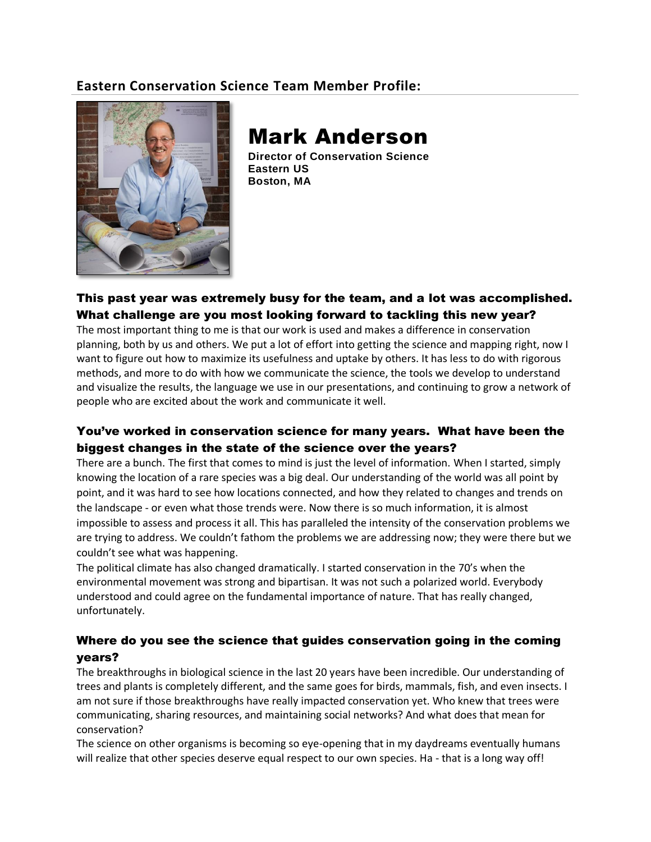## **Eastern Conservation Science Team Member Profile:**



# Mark Anderson

**Director of Conservation Science Eastern US Boston, MA**

#### This past year was extremely busy for the team, and a lot was accomplished. What challenge are you most looking forward to tackling this new year?

The most important thing to me is that our work is used and makes a difference in conservation planning, both by us and others. We put a lot of effort into getting the science and mapping right, now I want to figure out how to maximize its usefulness and uptake by others. It has less to do with rigorous methods, and more to do with how we communicate the science, the tools we develop to understand and visualize the results, the language we use in our presentations, and continuing to grow a network of people who are excited about the work and communicate it well.

### You've worked in conservation science for many years. What have been the biggest changes in the state of the science over the years?

There are a bunch. The first that comes to mind is just the level of information. When I started, simply knowing the location of a rare species was a big deal. Our understanding of the world was all point by point, and it was hard to see how locations connected, and how they related to changes and trends on the landscape - or even what those trends were. Now there is so much information, it is almost impossible to assess and process it all. This has paralleled the intensity of the conservation problems we are trying to address. We couldn't fathom the problems we are addressing now; they were there but we couldn't see what was happening.

The political climate has also changed dramatically. I started conservation in the 70's when the environmental movement was strong and bipartisan. It was not such a polarized world. Everybody understood and could agree on the fundamental importance of nature. That has really changed, unfortunately.

#### Where do you see the science that guides conservation going in the coming years?

The breakthroughs in biological science in the last 20 years have been incredible. Our understanding of trees and plants is completely different, and the same goes for birds, mammals, fish, and even insects. I am not sure if those breakthroughs have really impacted conservation yet. Who knew that trees were communicating, sharing resources, and maintaining social networks? And what does that mean for conservation?

The science on other organisms is becoming so eye-opening that in my daydreams eventually humans will realize that other species deserve equal respect to our own species. Ha - that is a long way off!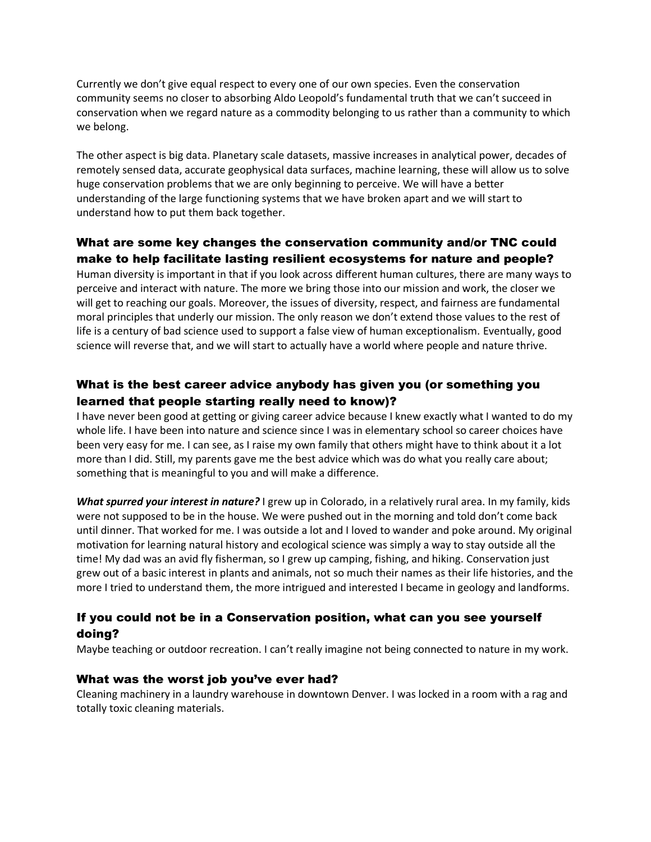Currently we don't give equal respect to every one of our own species. Even the conservation community seems no closer to absorbing Aldo Leopold's fundamental truth that we can't succeed in conservation when we regard nature as a commodity belonging to us rather than a community to which we belong.

The other aspect is big data. Planetary scale datasets, massive increases in analytical power, decades of remotely sensed data, accurate geophysical data surfaces, machine learning, these will allow us to solve huge conservation problems that we are only beginning to perceive. We will have a better understanding of the large functioning systems that we have broken apart and we will start to understand how to put them back together.

#### What are some key changes the conservation community and/or TNC could make to help facilitate lasting resilient ecosystems for nature and people?

Human diversity is important in that if you look across different human cultures, there are many ways to perceive and interact with nature. The more we bring those into our mission and work, the closer we will get to reaching our goals. Moreover, the issues of diversity, respect, and fairness are fundamental moral principles that underly our mission. The only reason we don't extend those values to the rest of life is a century of bad science used to support a false view of human exceptionalism. Eventually, good science will reverse that, and we will start to actually have a world where people and nature thrive.

#### What is the best career advice anybody has given you (or something you learned that people starting really need to know)?

I have never been good at getting or giving career advice because I knew exactly what I wanted to do my whole life. I have been into nature and science since I was in elementary school so career choices have been very easy for me. I can see, as I raise my own family that others might have to think about it a lot more than I did. Still, my parents gave me the best advice which was do what you really care about; something that is meaningful to you and will make a difference.

*What spurred your interest in nature?* I grew up in Colorado, in a relatively rural area. In my family, kids were not supposed to be in the house. We were pushed out in the morning and told don't come back until dinner. That worked for me. I was outside a lot and I loved to wander and poke around. My original motivation for learning natural history and ecological science was simply a way to stay outside all the time! My dad was an avid fly fisherman, so I grew up camping, fishing, and hiking. Conservation just grew out of a basic interest in plants and animals, not so much their names as their life histories, and the more I tried to understand them, the more intrigued and interested I became in geology and landforms.

#### If you could not be in a Conservation position, what can you see yourself doing?

Maybe teaching or outdoor recreation. I can't really imagine not being connected to nature in my work.

#### What was the worst job you've ever had?

Cleaning machinery in a laundry warehouse in downtown Denver. I was locked in a room with a rag and totally toxic cleaning materials.